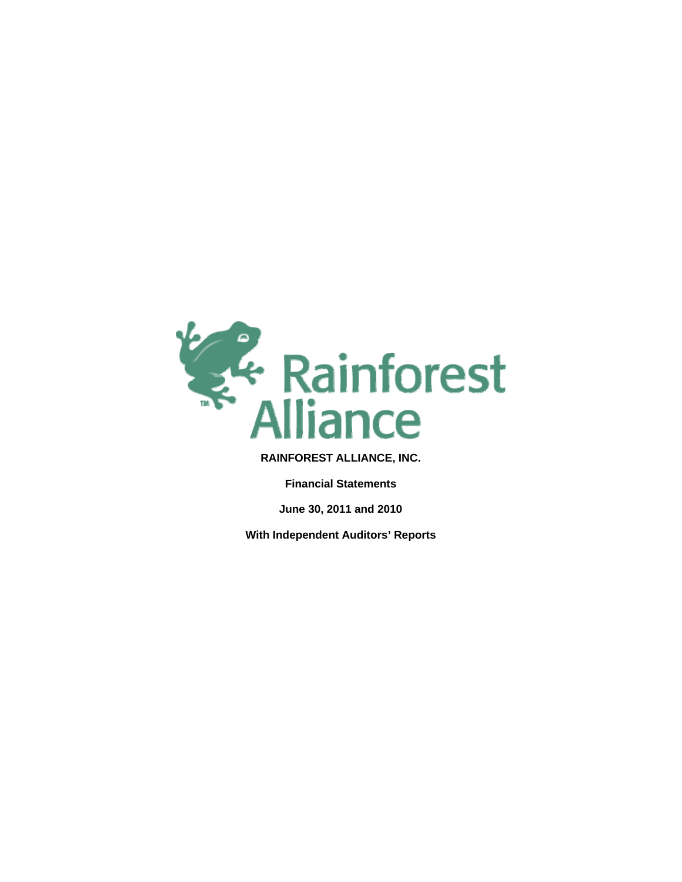

**Financial Statements** 

**June 30, 2011 and 2010** 

**With Independent Auditors' Reports**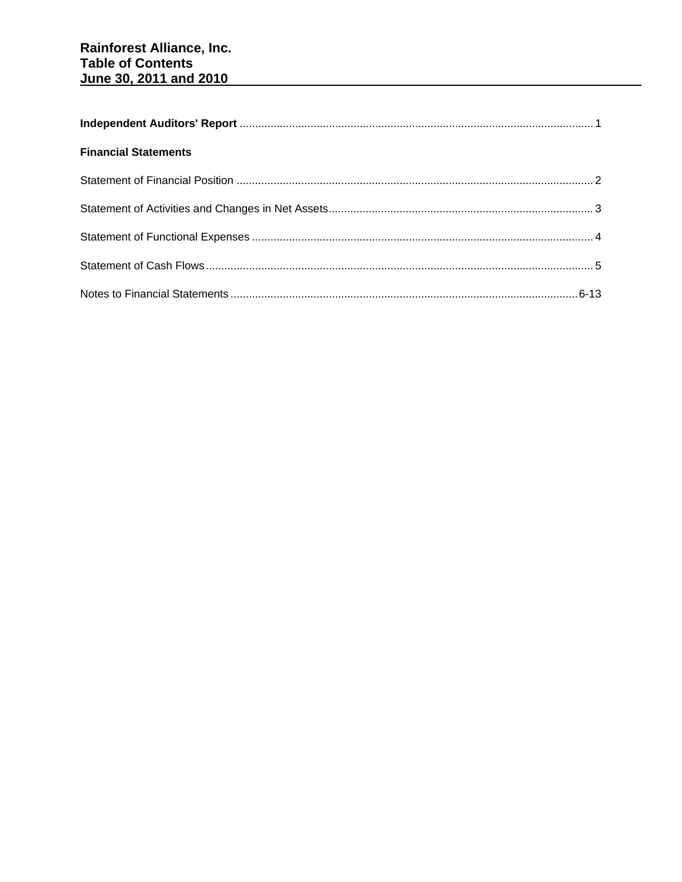| <b>Financial Statements</b> |  |
|-----------------------------|--|
|                             |  |
|                             |  |
|                             |  |
|                             |  |
|                             |  |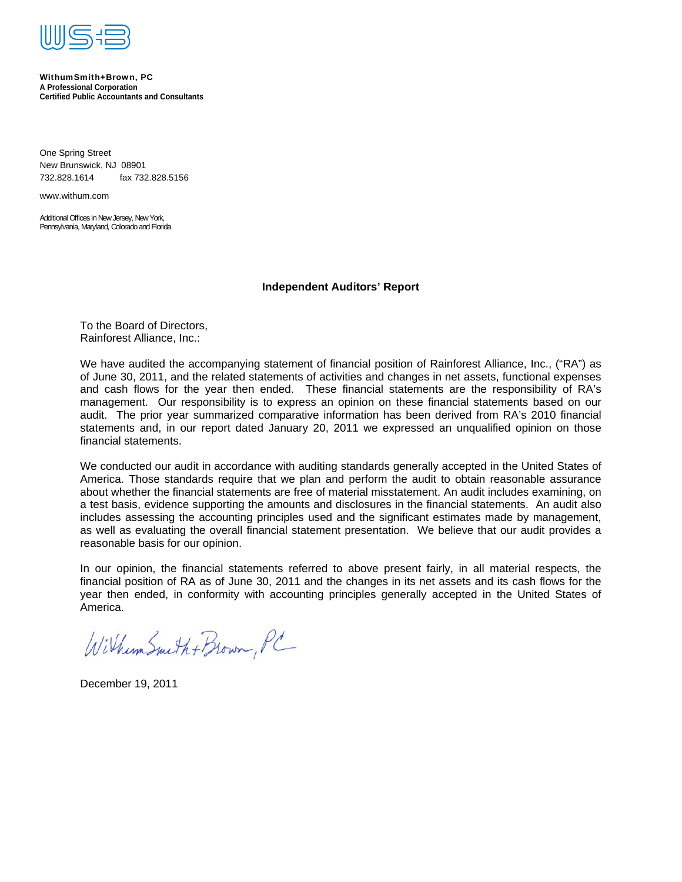

#### WithumSmith+Brown, PC **A Professional Corporation Certified Public Accountants and Consultants**

One Spring Street New Brunswick, NJ 08901 732.828.1614 fax 732.828.5156

www.withum.com

Additional Offices in New Jersey, New York, Pennsylvania, Maryland, Colorado and Florida

#### **Independent Auditors' Report**

To the Board of Directors, Rainforest Alliance, Inc.:

We have audited the accompanying statement of financial position of Rainforest Alliance, Inc., ("RA") as of June 30, 2011, and the related statements of activities and changes in net assets, functional expenses and cash flows for the year then ended. These financial statements are the responsibility of RA's management. Our responsibility is to express an opinion on these financial statements based on our audit. The prior year summarized comparative information has been derived from RA's 2010 financial statements and, in our report dated January 20, 2011 we expressed an unqualified opinion on those financial statements.

We conducted our audit in accordance with auditing standards generally accepted in the United States of America. Those standards require that we plan and perform the audit to obtain reasonable assurance about whether the financial statements are free of material misstatement. An audit includes examining, on a test basis, evidence supporting the amounts and disclosures in the financial statements. An audit also includes assessing the accounting principles used and the significant estimates made by management, as well as evaluating the overall financial statement presentation. We believe that our audit provides a reasonable basis for our opinion.

In our opinion, the financial statements referred to above present fairly, in all material respects, the financial position of RA as of June 30, 2011 and the changes in its net assets and its cash flows for the year then ended, in conformity with accounting principles generally accepted in the United States of America.

Wilhum Smith + Brown, PC

December 19, 2011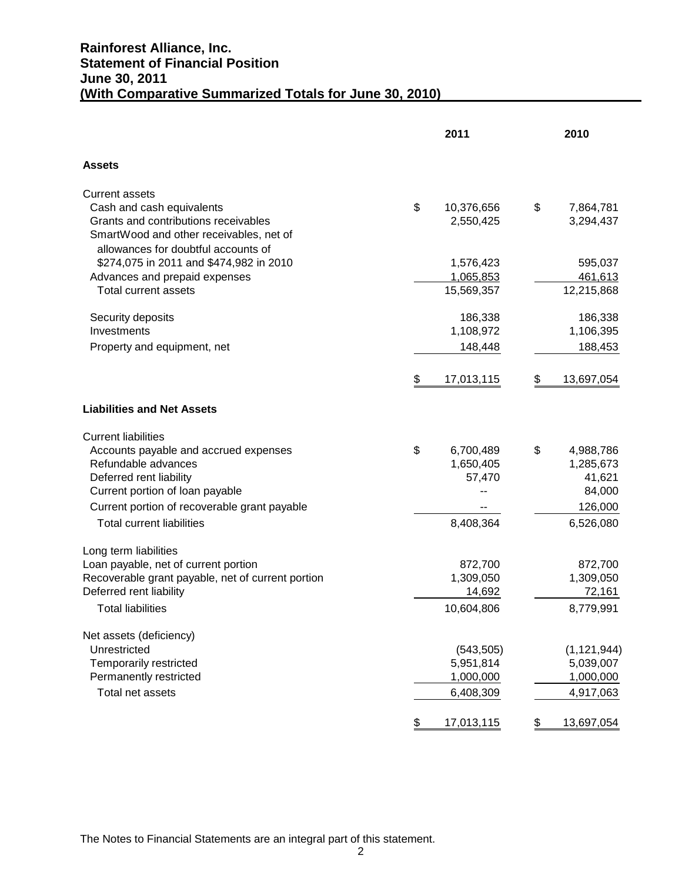# **Rainforest Alliance, Inc. Statement of Financial Position June 30, 2011 (With Comparative Summarized Totals for June 30, 2010)**

|                                                              | 2011                    | 2010                  |
|--------------------------------------------------------------|-------------------------|-----------------------|
| <b>Assets</b>                                                |                         |                       |
| <b>Current assets</b>                                        |                         |                       |
| Cash and cash equivalents                                    | \$<br>10,376,656        | \$<br>7,864,781       |
| Grants and contributions receivables                         | 2,550,425               | 3,294,437             |
| SmartWood and other receivables, net of                      |                         |                       |
| allowances for doubtful accounts of                          |                         |                       |
| \$274,075 in 2011 and \$474,982 in 2010                      | 1,576,423               | 595,037               |
| Advances and prepaid expenses<br><b>Total current assets</b> | 1,065,853<br>15,569,357 | 461,613<br>12,215,868 |
|                                                              |                         |                       |
| Security deposits                                            | 186,338                 | 186,338               |
| Investments                                                  | 1,108,972               | 1,106,395             |
| Property and equipment, net                                  | 148,448                 | 188,453               |
|                                                              |                         |                       |
|                                                              | \$<br>17,013,115        | \$<br>13,697,054      |
| <b>Liabilities and Net Assets</b>                            |                         |                       |
| <b>Current liabilities</b>                                   |                         |                       |
| Accounts payable and accrued expenses                        | \$<br>6,700,489         | \$<br>4,988,786       |
| Refundable advances                                          | 1,650,405               | 1,285,673             |
| Deferred rent liability                                      | 57,470                  | 41,621                |
| Current portion of loan payable                              |                         | 84,000                |
| Current portion of recoverable grant payable                 |                         | 126,000               |
| <b>Total current liabilities</b>                             | 8,408,364               | 6,526,080             |
| Long term liabilities                                        |                         |                       |
| Loan payable, net of current portion                         | 872,700                 | 872,700               |
| Recoverable grant payable, net of current portion            | 1,309,050               | 1,309,050             |
| Deferred rent liability                                      | 14,692                  | 72,161                |
| <b>Total liabilities</b>                                     | 10,604,806              | 8,779,991             |
| Net assets (deficiency)                                      |                         |                       |
| Unrestricted                                                 | (543, 505)              | (1, 121, 944)         |
| Temporarily restricted                                       | 5,951,814               | 5,039,007             |
| Permanently restricted                                       | 1,000,000               | 1,000,000             |
| Total net assets                                             | 6,408,309               | 4,917,063             |
|                                                              | \$<br>17,013,115        | \$<br>13,697,054      |

The Notes to Financial Statements are an integral part of this statement.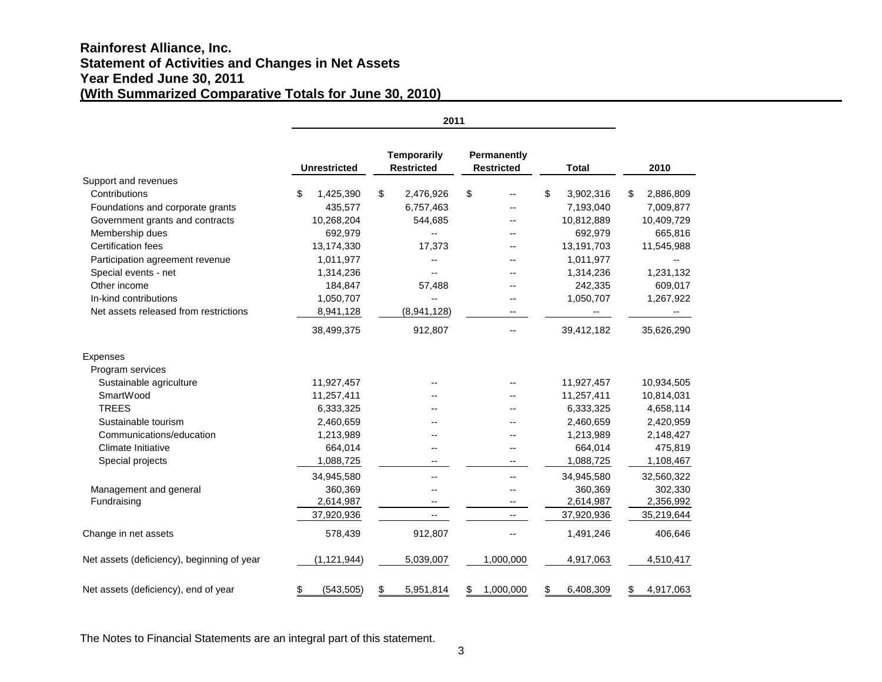# **Rainforest Alliance, Inc. Statement of Activities and Changes in Net Assets Year Ended June 30, 2011 (With Summarized Comparative Totals for June 30, 2010)**

|                                            | 2011 |                     |    |                                         |    |                                  |                 |                 |
|--------------------------------------------|------|---------------------|----|-----------------------------------------|----|----------------------------------|-----------------|-----------------|
|                                            |      | <b>Unrestricted</b> |    | <b>Temporarily</b><br><b>Restricted</b> |    | Permanently<br><b>Restricted</b> | <b>Total</b>    | 2010            |
| Support and revenues                       |      |                     |    |                                         |    |                                  |                 |                 |
| Contributions                              | S    | 1,425,390           | \$ | 2,476,926                               | \$ | --                               | \$<br>3,902,316 | \$<br>2,886,809 |
| Foundations and corporate grants           |      | 435,577             |    | 6,757,463                               |    |                                  | 7,193,040       | 7,009,877       |
| Government grants and contracts            |      | 10,268,204          |    | 544,685                                 |    |                                  | 10,812,889      | 10,409,729      |
| Membership dues                            |      | 692,979             |    | $\overline{a}$                          |    |                                  | 692,979         | 665,816         |
| <b>Certification fees</b>                  |      | 13,174,330          |    | 17,373                                  |    |                                  | 13,191,703      | 11,545,988      |
| Participation agreement revenue            |      | 1,011,977           |    | $\overline{\phantom{a}}$                |    |                                  | 1,011,977       | --              |
| Special events - net                       |      | 1,314,236           |    |                                         |    |                                  | 1,314,236       | 1,231,132       |
| Other income                               |      | 184,847             |    | 57,488                                  |    |                                  | 242,335         | 609,017         |
| In-kind contributions                      |      | 1,050,707           |    | $\overline{\phantom{a}}$                |    |                                  | 1,050,707       | 1,267,922       |
| Net assets released from restrictions      |      | 8,941,128           |    | (8,941,128)                             |    | --                               | --              | --              |
|                                            |      | 38,499,375          |    | 912,807                                 |    | --                               | 39,412,182      | 35,626,290      |
| <b>Expenses</b>                            |      |                     |    |                                         |    |                                  |                 |                 |
| Program services                           |      |                     |    |                                         |    |                                  |                 |                 |
| Sustainable agriculture                    |      | 11,927,457          |    |                                         |    |                                  | 11,927,457      | 10,934,505      |
| SmartWood                                  |      | 11,257,411          |    |                                         |    |                                  | 11,257,411      | 10,814,031      |
| <b>TREES</b>                               |      | 6,333,325           |    |                                         |    |                                  | 6,333,325       | 4,658,114       |
| Sustainable tourism                        |      | 2,460,659           |    |                                         |    |                                  | 2,460,659       | 2,420,959       |
| Communications/education                   |      | 1,213,989           |    |                                         |    |                                  | 1,213,989       | 2,148,427       |
| <b>Climate Initiative</b>                  |      | 664,014             |    |                                         |    |                                  | 664,014         | 475,819         |
| Special projects                           |      | 1,088,725           |    |                                         |    | --                               | 1,088,725       | 1,108,467       |
|                                            |      | 34,945,580          |    | $-$                                     |    | --                               | 34,945,580      | 32,560,322      |
| Management and general                     |      | 360,369             |    |                                         |    | --                               | 360,369         | 302,330         |
| Fundraising                                |      | 2,614,987           |    |                                         |    | $\overline{\phantom{a}}$         | 2,614,987       | 2,356,992       |
|                                            |      | 37,920,936          |    |                                         |    | $\overline{\phantom{a}}$         | 37,920,936      | 35,219,644      |
| Change in net assets                       |      | 578,439             |    | 912,807                                 |    |                                  | 1,491,246       | 406,646         |
| Net assets (deficiency), beginning of year |      | (1, 121, 944)       |    | 5,039,007                               |    | 1,000,000                        | 4,917,063       | 4,510,417       |
| Net assets (deficiency), end of year       | \$   | (543, 505)          | \$ | 5,951,814                               | \$ | 1,000,000                        | \$<br>6,408,309 | \$<br>4,917,063 |

The Notes to Financial Statements are an integral part of this statement.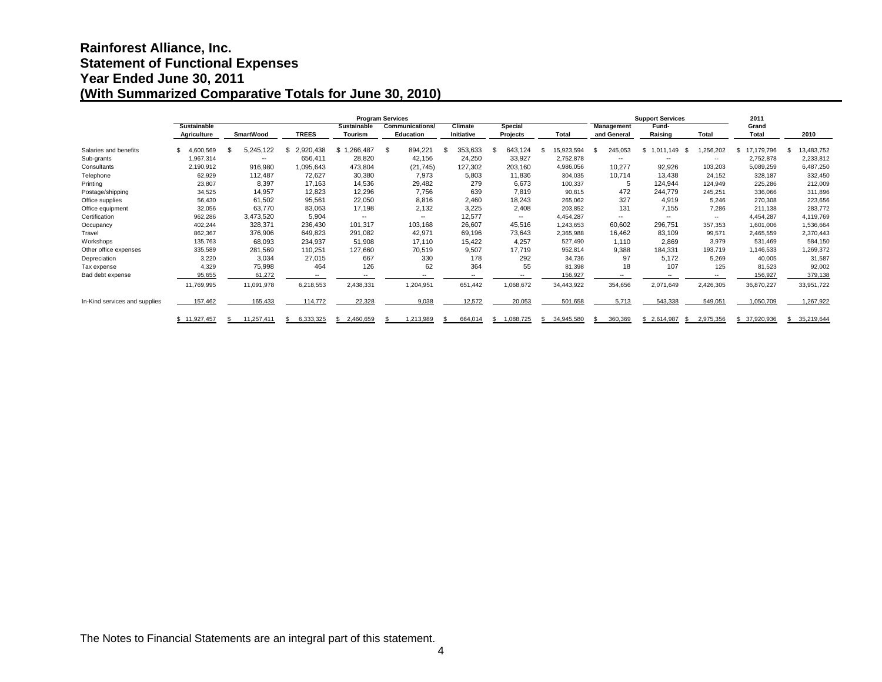# **Rainforest Alliance, Inc. Statement of Functional Expenses Year Ended June 30, 2011 (With Summarized Comparative Totals for June 30, 2010)**

|                               |                    |                  |                          |                    | <b>Program Services</b> |            |                   |            |                 | <b>Support Services</b>  |           | 2011             |                  |
|-------------------------------|--------------------|------------------|--------------------------|--------------------|-------------------------|------------|-------------------|------------|-----------------|--------------------------|-----------|------------------|------------------|
|                               | <b>Sustainable</b> |                  |                          | <b>Sustainable</b> | <b>Communications/</b>  | Climate    | Special           |            | Management      | Fund-                    |           | Grand            |                  |
|                               | <b>Agriculture</b> | <b>SmartWood</b> | <b>TREES</b>             | <b>Tourism</b>     | Education               | Initiative | Projects          | Total      | and General     | Raising                  | Total     | Total            | 2010             |
| Salaries and benefits         | 4,600,569          | 5,245,122        | 2,920,438<br>£.          | ,266,487<br>\$.    | \$<br>894,221           | 353,633    | 643,124           | 15,923,594 | 245.053<br>- \$ | \$1.011.149<br>- \$      | 256,202.  | 17.179.796<br>S  | 13,483,752       |
| Sub-grants                    | 1,967,314          | --               | 656,411                  | 28,820             | 42,156                  | 24,250     | 33,927            | 2,752,878  | --              | $\overline{\phantom{a}}$ | $\sim$    | 2,752,878        | 2,233,812        |
| Consultants                   | 2,190,912          | 916,980          | 1,095,643                | 473,804            | (21, 745)               | 127,302    | 203,160           | 4,986,056  | 10,277          | 92,926                   | 103,203   | 5,089,259        | 6,487,250        |
| Telephone                     | 62,929             | 112,487          | 72,627                   | 30,380             | 7,973                   | 5,803      | 11,836            | 304,035    | 10,714          | 13,438                   | 24,152    | 328,187          | 332,450          |
| Printing                      | 23,807             | 8,397            | 17,163                   | 14,536             | 29,482                  | 279        | 6,673             | 100,337    | 5               | 124,944                  | 124.949   | 225,286          | 212,009          |
| Postage/shipping              | 34,525             | 14,957           | 12,823                   | 12,296             | 7,756                   | 639        | 7,819             | 90,815     | 472             | 244.779                  | 245,251   | 336,066          | 311,896          |
| Office supplies               | 56,430             | 61,502           | 95,561                   | 22,050             | 8,816                   | 2,460      | 18,243            | 265,062    | 327             | 4,919                    | 5,246     | 270,308          | 223,656          |
| Office equipment              | 32,056             | 63,770           | 83,063                   | 17,198             | 2,132                   | 3,225      | 2,408             | 203,852    | 131             | 7,155                    | 7,286     | 211,138          | 283,772          |
| Certification                 | 962,286            | 3,473,520        | 5,904                    | $- -$              | $-$                     | 12,577     | $- -$             | 4,454,287  | $- -$           | $\overline{\phantom{a}}$ | $\sim$    | 4,454,287        | 4,119,769        |
| Occupancy                     | 402,244            | 328,371          | 236,430                  | 101,317            | 103,168                 | 26,607     | 45,516            | 1,243,653  | 60,602          | 296,751                  | 357,353   | 1,601,006        | 1,536,664        |
| Travel                        | 862,367            | 376,906          | 649,823                  | 291,082            | 42,971                  | 69,196     | 73,643            | 2,365,988  | 16,462          | 83,109                   | 99,571    | 2,465,559        | 2,370,443        |
| Workshops                     | 135,763            | 68,093           | 234,937                  | 51,908             | 17,110                  | 15,422     | 4,257             | 527,490    | 1,110           | 2,869                    | 3,979     | 531,469          | 584,150          |
| Other office expenses         | 335,589            | 281,569          | 110,251                  | 127,660            | 70,519                  | 9,507      | 17.719            | 952,814    | 9,388           | 184,331                  | 193.719   | 1,146,533        | 1,269,372        |
| Depreciation                  | 3,220              | 3,034            | 27,015                   | 667                | 330                     | 178        | 292               | 34,736     | 97              | 5,172                    | 5,269     | 40,005           | 31,587           |
| Tax expense                   | 4,329              | 75,998           | 464                      | 126                | 62                      | 364        | 55                | 81,398     | 18              | 107                      | 125       | 81,523           | 92,002           |
| Bad debt expense              | 95,655             | 61,272           | $\overline{\phantom{a}}$ | $\sim$             | --                      | $\sim$     | $\sim$            | 156,927    | $\sim$          | $-$                      | $\sim$    | 156,927          | 379,138          |
|                               | 11,769,995         | 11,091,978       | 6,218,553                | 2,438,331          | 1,204,951               | 651,442    | 1,068,672         | 34,443,922 | 354,656         | 2,071,649                | 2,426,305 | 36,870,227       | 33,951,722       |
| In-Kind services and supplies | 157,462            | 165,433          | 114,772                  | 22,328             | 9,038                   | 12,572     | 20,053            | 501,658    | 5,713           | 543,338                  | 549,051   | 1,050,709        | 1,267,922        |
|                               | \$11,927,457       | 11,257,411       | 6,333,325                | 2,460,659          | 1,213,989               | 664,014    | 1,088,725<br>-SS- | 34,945,580 | 360,369         | \$2,614,987              | 2,975,356 | 37,920,936<br>\$ | 35,219,644<br>\$ |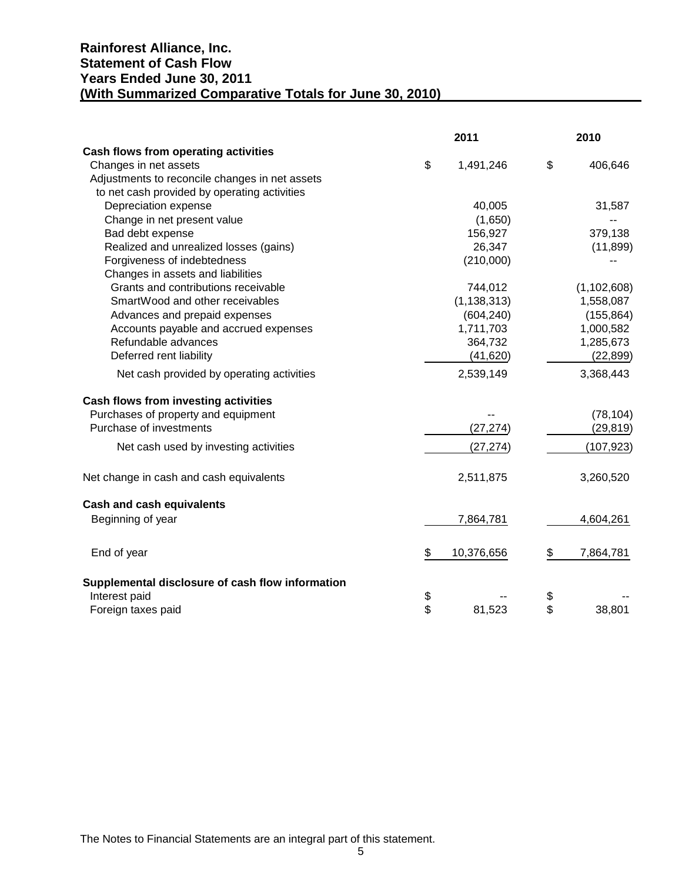# **Rainforest Alliance, Inc. Statement of Cash Flow Years Ended June 30, 2011 (With Summarized Comparative Totals for June 30, 2010)**

|                                                  | 2011             | 2010            |
|--------------------------------------------------|------------------|-----------------|
| Cash flows from operating activities             |                  |                 |
| Changes in net assets                            | \$<br>1,491,246  | \$<br>406,646   |
| Adjustments to reconcile changes in net assets   |                  |                 |
| to net cash provided by operating activities     |                  |                 |
| Depreciation expense                             | 40,005           | 31,587          |
| Change in net present value                      | (1,650)          |                 |
| Bad debt expense                                 | 156,927          | 379,138         |
| Realized and unrealized losses (gains)           | 26,347           | (11, 899)       |
| Forgiveness of indebtedness                      | (210,000)        |                 |
| Changes in assets and liabilities                |                  |                 |
| Grants and contributions receivable              | 744,012          | (1, 102, 608)   |
| SmartWood and other receivables                  | (1, 138, 313)    | 1,558,087       |
| Advances and prepaid expenses                    | (604, 240)       | (155, 864)      |
| Accounts payable and accrued expenses            | 1,711,703        | 1,000,582       |
| Refundable advances                              | 364,732          | 1,285,673       |
| Deferred rent liability                          | (41, 620)        | (22, 899)       |
| Net cash provided by operating activities        | 2,539,149        | 3,368,443       |
| Cash flows from investing activities             |                  |                 |
| Purchases of property and equipment              |                  | (78, 104)       |
| Purchase of investments                          | (27, 274)        | (29, 819)       |
| Net cash used by investing activities            | (27, 274)        | (107, 923)      |
| Net change in cash and cash equivalents          | 2,511,875        | 3,260,520       |
| <b>Cash and cash equivalents</b>                 |                  |                 |
| Beginning of year                                | 7,864,781        | 4,604,261       |
| End of year                                      | \$<br>10,376,656 | \$<br>7,864,781 |
| Supplemental disclosure of cash flow information |                  |                 |
| Interest paid                                    | \$               | \$              |
| Foreign taxes paid                               | \$<br>81,523     | \$<br>38,801    |

The Notes to Financial Statements are an integral part of this statement.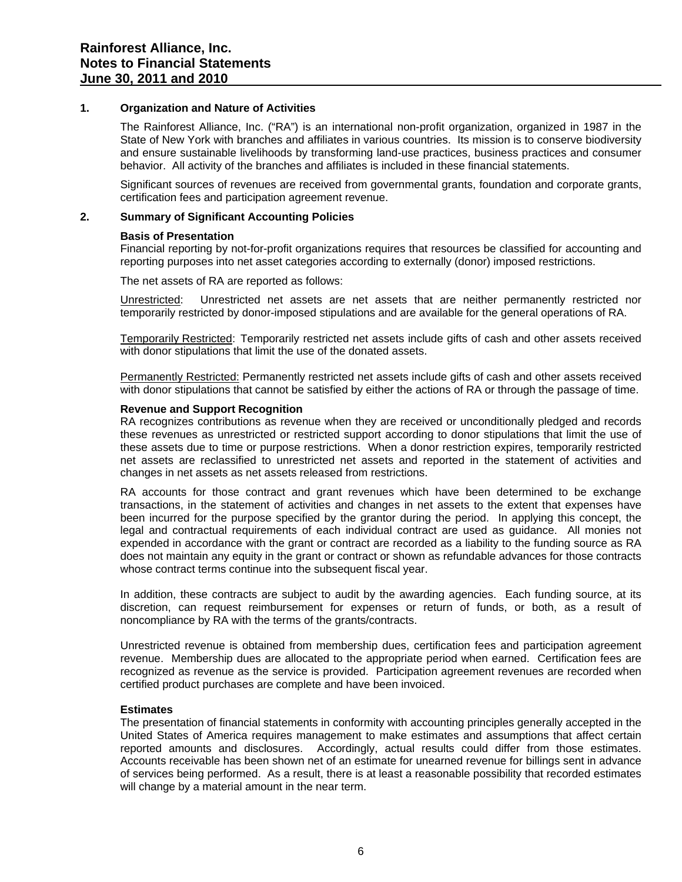#### **1. Organization and Nature of Activities**

The Rainforest Alliance, Inc. ("RA") is an international non-profit organization, organized in 1987 in the State of New York with branches and affiliates in various countries. Its mission is to conserve biodiversity and ensure sustainable livelihoods by transforming land-use practices, business practices and consumer behavior. All activity of the branches and affiliates is included in these financial statements.

Significant sources of revenues are received from governmental grants, foundation and corporate grants, certification fees and participation agreement revenue.

# **2. Summary of Significant Accounting Policies**

#### **Basis of Presentation**

Financial reporting by not-for-profit organizations requires that resources be classified for accounting and reporting purposes into net asset categories according to externally (donor) imposed restrictions.

The net assets of RA are reported as follows:

Unrestricted: Unrestricted net assets are net assets that are neither permanently restricted nor temporarily restricted by donor-imposed stipulations and are available for the general operations of RA.

Temporarily Restricted: Temporarily restricted net assets include gifts of cash and other assets received with donor stipulations that limit the use of the donated assets.

Permanently Restricted: Permanently restricted net assets include gifts of cash and other assets received with donor stipulations that cannot be satisfied by either the actions of RA or through the passage of time.

### **Revenue and Support Recognition**

RA recognizes contributions as revenue when they are received or unconditionally pledged and records these revenues as unrestricted or restricted support according to donor stipulations that limit the use of these assets due to time or purpose restrictions. When a donor restriction expires, temporarily restricted net assets are reclassified to unrestricted net assets and reported in the statement of activities and changes in net assets as net assets released from restrictions.

RA accounts for those contract and grant revenues which have been determined to be exchange transactions, in the statement of activities and changes in net assets to the extent that expenses have been incurred for the purpose specified by the grantor during the period. In applying this concept, the legal and contractual requirements of each individual contract are used as guidance. All monies not expended in accordance with the grant or contract are recorded as a liability to the funding source as RA does not maintain any equity in the grant or contract or shown as refundable advances for those contracts whose contract terms continue into the subsequent fiscal year.

In addition, these contracts are subject to audit by the awarding agencies. Each funding source, at its discretion, can request reimbursement for expenses or return of funds, or both, as a result of noncompliance by RA with the terms of the grants/contracts.

Unrestricted revenue is obtained from membership dues, certification fees and participation agreement revenue. Membership dues are allocated to the appropriate period when earned. Certification fees are recognized as revenue as the service is provided. Participation agreement revenues are recorded when certified product purchases are complete and have been invoiced.

### **Estimates**

The presentation of financial statements in conformity with accounting principles generally accepted in the United States of America requires management to make estimates and assumptions that affect certain reported amounts and disclosures. Accordingly, actual results could differ from those estimates. Accounts receivable has been shown net of an estimate for unearned revenue for billings sent in advance of services being performed. As a result, there is at least a reasonable possibility that recorded estimates will change by a material amount in the near term.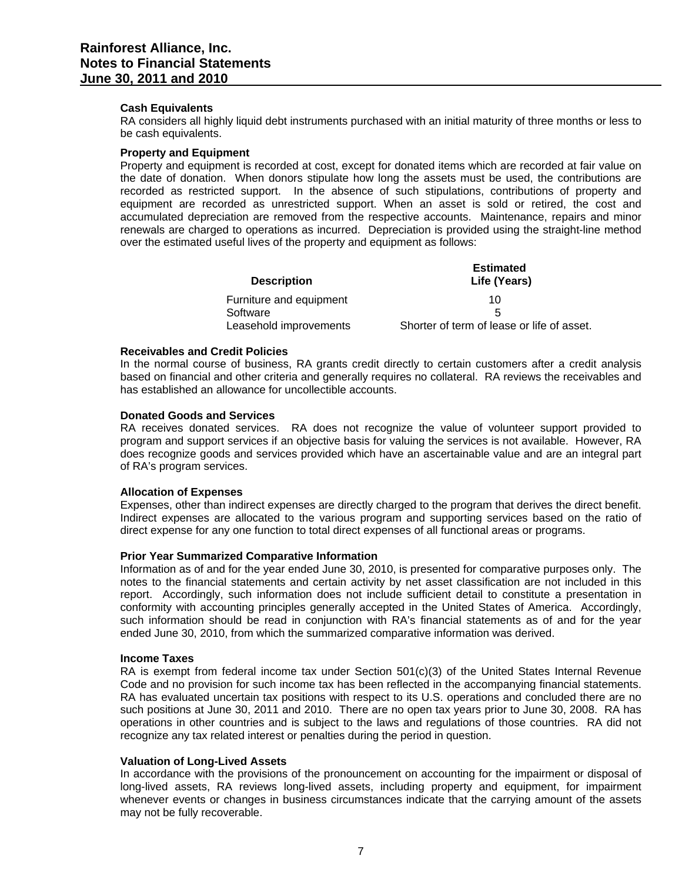#### **Cash Equivalents**

RA considers all highly liquid debt instruments purchased with an initial maturity of three months or less to be cash equivalents.

#### **Property and Equipment**

Property and equipment is recorded at cost, except for donated items which are recorded at fair value on the date of donation. When donors stipulate how long the assets must be used, the contributions are recorded as restricted support. In the absence of such stipulations, contributions of property and equipment are recorded as unrestricted support. When an asset is sold or retired, the cost and accumulated depreciation are removed from the respective accounts. Maintenance, repairs and minor renewals are charged to operations as incurred. Depreciation is provided using the straight-line method over the estimated useful lives of the property and equipment as follows:

| <b>Description</b>      | <b>Estimated</b><br>Life (Years)           |
|-------------------------|--------------------------------------------|
| Furniture and equipment | 10                                         |
| Software                | 5                                          |
| Leasehold improvements  | Shorter of term of lease or life of asset. |

#### **Receivables and Credit Policies**

In the normal course of business, RA grants credit directly to certain customers after a credit analysis based on financial and other criteria and generally requires no collateral. RA reviews the receivables and has established an allowance for uncollectible accounts.

#### **Donated Goods and Services**

RA receives donated services. RA does not recognize the value of volunteer support provided to program and support services if an objective basis for valuing the services is not available. However, RA does recognize goods and services provided which have an ascertainable value and are an integral part of RA's program services.

### **Allocation of Expenses**

Expenses, other than indirect expenses are directly charged to the program that derives the direct benefit. Indirect expenses are allocated to the various program and supporting services based on the ratio of direct expense for any one function to total direct expenses of all functional areas or programs.

### **Prior Year Summarized Comparative Information**

Information as of and for the year ended June 30, 2010, is presented for comparative purposes only. The notes to the financial statements and certain activity by net asset classification are not included in this report. Accordingly, such information does not include sufficient detail to constitute a presentation in conformity with accounting principles generally accepted in the United States of America. Accordingly, such information should be read in conjunction with RA's financial statements as of and for the year ended June 30, 2010, from which the summarized comparative information was derived.

#### **Income Taxes**

RA is exempt from federal income tax under Section 501(c)(3) of the United States Internal Revenue Code and no provision for such income tax has been reflected in the accompanying financial statements. RA has evaluated uncertain tax positions with respect to its U.S. operations and concluded there are no such positions at June 30, 2011 and 2010. There are no open tax years prior to June 30, 2008. RA has operations in other countries and is subject to the laws and regulations of those countries. RA did not recognize any tax related interest or penalties during the period in question.

#### **Valuation of Long-Lived Assets**

In accordance with the provisions of the pronouncement on accounting for the impairment or disposal of long-lived assets, RA reviews long-lived assets, including property and equipment, for impairment whenever events or changes in business circumstances indicate that the carrying amount of the assets may not be fully recoverable.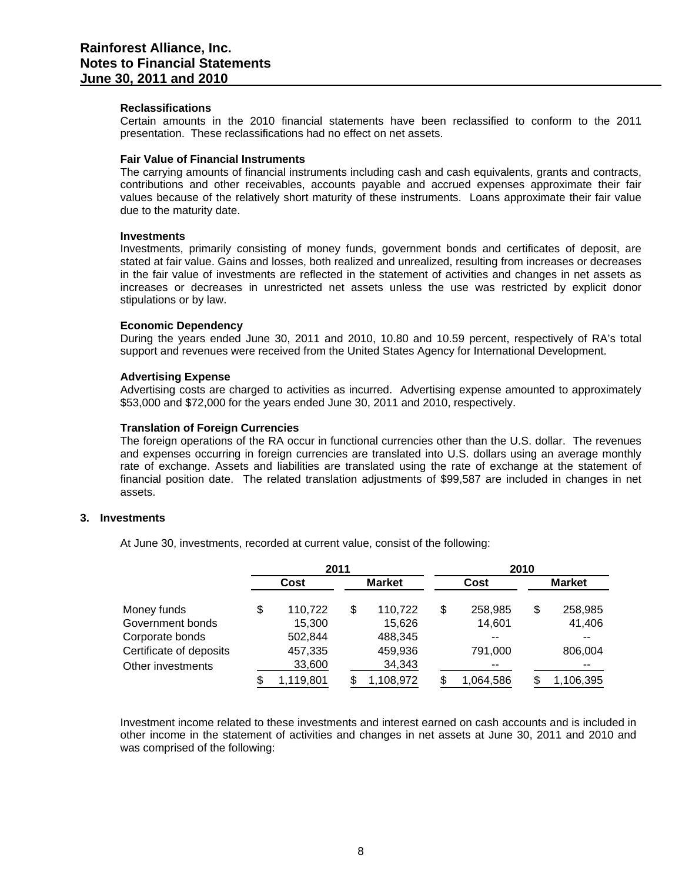#### **Reclassifications**

Certain amounts in the 2010 financial statements have been reclassified to conform to the 2011 presentation. These reclassifications had no effect on net assets.

#### **Fair Value of Financial Instruments**

The carrying amounts of financial instruments including cash and cash equivalents, grants and contracts, contributions and other receivables, accounts payable and accrued expenses approximate their fair values because of the relatively short maturity of these instruments. Loans approximate their fair value due to the maturity date.

#### **Investments**

Investments, primarily consisting of money funds, government bonds and certificates of deposit, are stated at fair value. Gains and losses, both realized and unrealized, resulting from increases or decreases in the fair value of investments are reflected in the statement of activities and changes in net assets as increases or decreases in unrestricted net assets unless the use was restricted by explicit donor stipulations or by law.

#### **Economic Dependency**

During the years ended June 30, 2011 and 2010, 10.80 and 10.59 percent, respectively of RA's total support and revenues were received from the United States Agency for International Development.

# **Advertising Expense**

Advertising costs are charged to activities as incurred. Advertising expense amounted to approximately \$53,000 and \$72,000 for the years ended June 30, 2011 and 2010, respectively.

#### **Translation of Foreign Currencies**

The foreign operations of the RA occur in functional currencies other than the U.S. dollar. The revenues and expenses occurring in foreign currencies are translated into U.S. dollars using an average monthly rate of exchange. Assets and liabilities are translated using the rate of exchange at the statement of financial position date. The related translation adjustments of \$99,587 are included in changes in net assets.

# **3. Investments**

At June 30, investments, recorded at current value, consist of the following:

|                         |      | 2011      |               |           |               | 2010 |               |
|-------------------------|------|-----------|---------------|-----------|---------------|------|---------------|
|                         | Cost |           | <b>Market</b> |           | Cost          |      | <b>Market</b> |
| Money funds             | \$   | 110,722   | S             | 110,722   | \$<br>258,985 | \$   | 258,985       |
| Government bonds        |      | 15,300    |               | 15,626    | 14,601        |      | 41,406        |
| Corporate bonds         |      | 502,844   |               | 488,345   |               |      |               |
| Certificate of deposits |      | 457,335   |               | 459,936   | 791.000       |      | 806,004       |
| Other investments       |      | 33,600    |               | 34,343    |               |      |               |
|                         |      | 1,119,801 |               | 1,108,972 | 1,064,586     |      | 1,106,395     |

Investment income related to these investments and interest earned on cash accounts and is included in other income in the statement of activities and changes in net assets at June 30, 2011 and 2010 and was comprised of the following: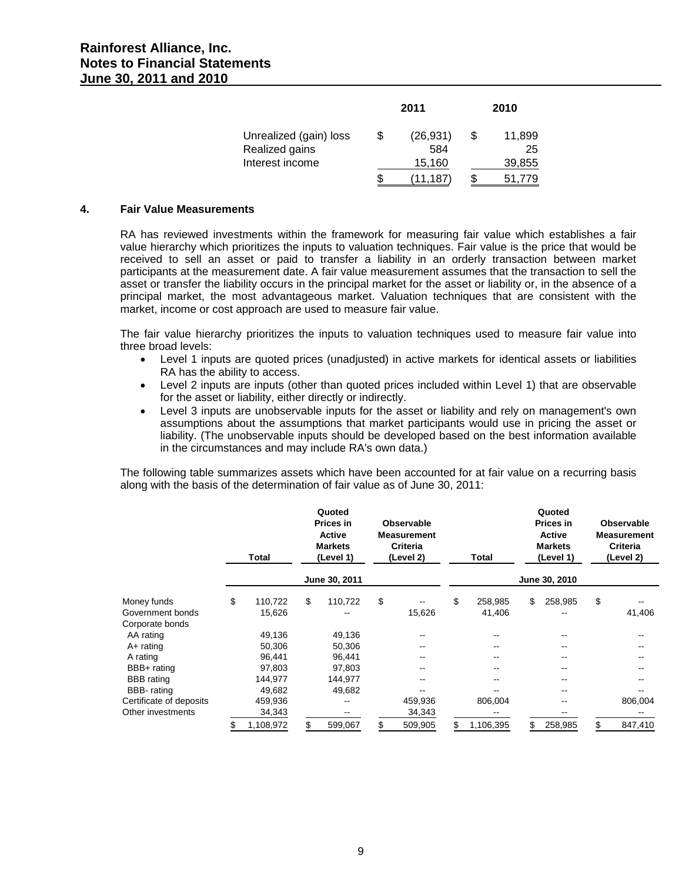|                        | 2011            |     | 2010   |
|------------------------|-----------------|-----|--------|
| Unrealized (gain) loss | \$<br>(26, 931) | \$. | 11,899 |
| Realized gains         | 584             |     | 25     |
| Interest income        | 15,160          |     | 39,855 |
|                        | \$<br>(11, 187) |     | 51,779 |

#### **4. Fair Value Measurements**

RA has reviewed investments within the framework for measuring fair value which establishes a fair value hierarchy which prioritizes the inputs to valuation techniques. Fair value is the price that would be received to sell an asset or paid to transfer a liability in an orderly transaction between market participants at the measurement date. A fair value measurement assumes that the transaction to sell the asset or transfer the liability occurs in the principal market for the asset or liability or, in the absence of a principal market, the most advantageous market. Valuation techniques that are consistent with the market, income or cost approach are used to measure fair value.

The fair value hierarchy prioritizes the inputs to valuation techniques used to measure fair value into three broad levels:

- Level 1 inputs are quoted prices (unadjusted) in active markets for identical assets or liabilities RA has the ability to access.
- Level 2 inputs are inputs (other than quoted prices included within Level 1) that are observable for the asset or liability, either directly or indirectly.
- Level 3 inputs are unobservable inputs for the asset or liability and rely on management's own assumptions about the assumptions that market participants would use in pricing the asset or liability. (The unobservable inputs should be developed based on the best information available in the circumstances and may include RA's own data.)

The following table summarizes assets which have been accounted for at fair value on a recurring basis along with the basis of the determination of fair value as of June 30, 2011:

|                         | Total           | Quoted<br><b>Prices in</b><br>Active<br><b>Markets</b><br>(Level 1) | Observable<br><b>Measurement</b><br>Criteria<br>(Level 2) | Total           | Quoted<br><b>Prices in</b><br>Active<br><b>Markets</b><br>(Level 1) | <b>Observable</b><br><b>Measurement</b><br><b>Criteria</b><br>(Level 2) |
|-------------------------|-----------------|---------------------------------------------------------------------|-----------------------------------------------------------|-----------------|---------------------------------------------------------------------|-------------------------------------------------------------------------|
|                         |                 | June 30, 2011                                                       |                                                           |                 | June 30, 2010                                                       |                                                                         |
| Money funds             | \$<br>110,722   | \$<br>110,722                                                       | \$                                                        | \$<br>258,985   | \$<br>258,985                                                       | \$                                                                      |
| Government bonds        | 15,626          |                                                                     | 15,626                                                    | 41,406          | --                                                                  | 41,406                                                                  |
| Corporate bonds         |                 |                                                                     |                                                           |                 |                                                                     |                                                                         |
| AA rating               | 49,136          | 49,136                                                              |                                                           |                 |                                                                     |                                                                         |
| $A+$ rating             | 50,306          | 50,306                                                              |                                                           | --              |                                                                     |                                                                         |
| A rating                | 96,441          | 96,441                                                              |                                                           | --              | --                                                                  | --                                                                      |
| BBB+ rating             | 97,803          | 97,803                                                              |                                                           | --              | --                                                                  |                                                                         |
| <b>BBB</b> rating       | 144,977         | 144,977                                                             |                                                           | --              |                                                                     |                                                                         |
| BBB- rating             | 49,682          | 49,682                                                              |                                                           |                 |                                                                     |                                                                         |
| Certificate of deposits | 459,936         | --                                                                  | 459,936                                                   | 806,004         | --                                                                  | 806,004                                                                 |
| Other investments       | 34,343          | --                                                                  | 34,343                                                    |                 |                                                                     |                                                                         |
|                         | \$<br>1,108,972 | \$<br>599,067                                                       | \$<br>509,905                                             | \$<br>1,106,395 | \$<br>258,985                                                       | \$<br>847,410                                                           |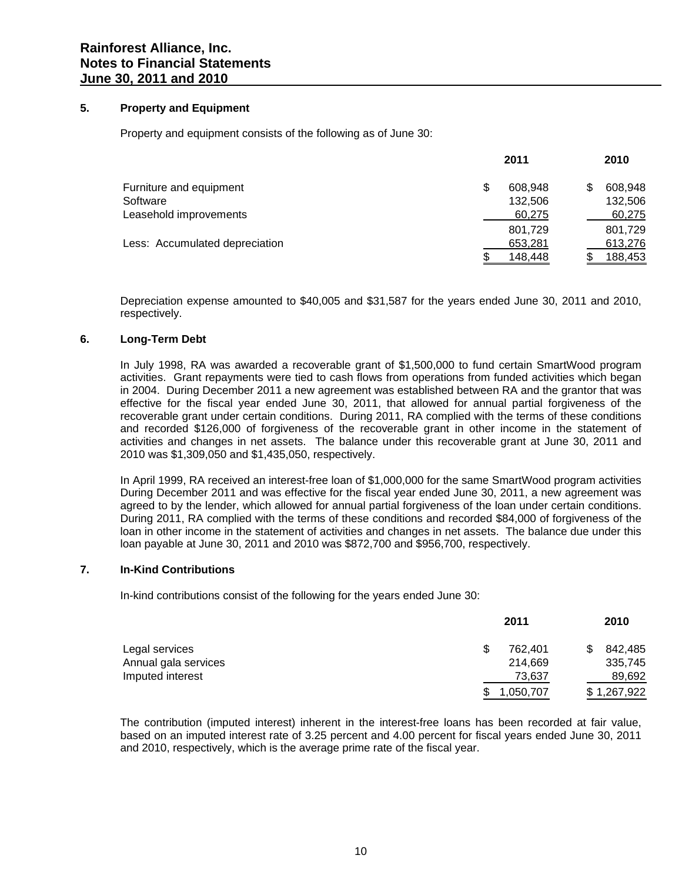# **5. Property and Equipment**

Property and equipment consists of the following as of June 30:

|    | 2011    |   | 2010    |
|----|---------|---|---------|
| \$ | 608.948 | S | 608.948 |
|    | 132,506 |   | 132,506 |
|    | 60,275  |   | 60,275  |
|    | 801,729 |   | 801,729 |
|    | 653,281 |   | 613,276 |
| S. | 148,448 |   | 188,453 |
|    |         |   |         |

Depreciation expense amounted to \$40,005 and \$31,587 for the years ended June 30, 2011 and 2010, respectively.

# **6. Long-Term Debt**

In July 1998, RA was awarded a recoverable grant of \$1,500,000 to fund certain SmartWood program activities. Grant repayments were tied to cash flows from operations from funded activities which began in 2004. During December 2011 a new agreement was established between RA and the grantor that was effective for the fiscal year ended June 30, 2011, that allowed for annual partial forgiveness of the recoverable grant under certain conditions. During 2011, RA complied with the terms of these conditions and recorded \$126,000 of forgiveness of the recoverable grant in other income in the statement of activities and changes in net assets. The balance under this recoverable grant at June 30, 2011 and 2010 was \$1,309,050 and \$1,435,050, respectively.

In April 1999, RA received an interest-free loan of \$1,000,000 for the same SmartWood program activities During December 2011 and was effective for the fiscal year ended June 30, 2011, a new agreement was agreed to by the lender, which allowed for annual partial forgiveness of the loan under certain conditions. During 2011, RA complied with the terms of these conditions and recorded \$84,000 of forgiveness of the loan in other income in the statement of activities and changes in net assets. The balance due under this loan payable at June 30, 2011 and 2010 was \$872,700 and \$956,700, respectively.

# **7. In-Kind Contributions**

In-kind contributions consist of the following for the years ended June 30:

|                      |     | 2011      | 2010        |
|----------------------|-----|-----------|-------------|
| Legal services       | \$. | 762.401   | 842,485     |
| Annual gala services |     | 214.669   | 335,745     |
| Imputed interest     |     | 73,637    | 89,692      |
|                      | S   | 1,050,707 | \$1,267,922 |

The contribution (imputed interest) inherent in the interest-free loans has been recorded at fair value, based on an imputed interest rate of 3.25 percent and 4.00 percent for fiscal years ended June 30, 2011 and 2010, respectively, which is the average prime rate of the fiscal year.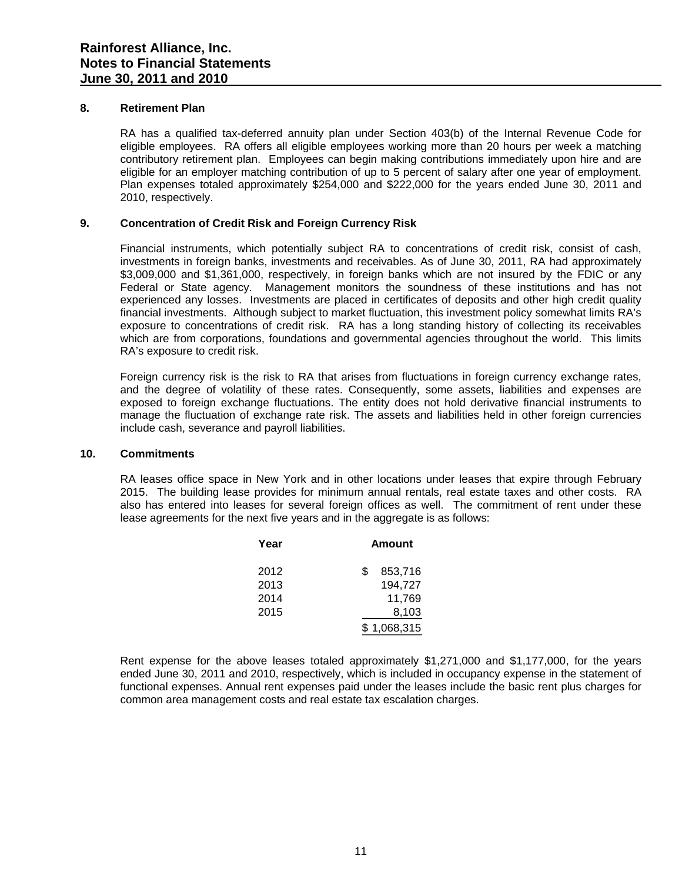#### **8. Retirement Plan**

RA has a qualified tax-deferred annuity plan under Section 403(b) of the Internal Revenue Code for eligible employees. RA offers all eligible employees working more than 20 hours per week a matching contributory retirement plan. Employees can begin making contributions immediately upon hire and are eligible for an employer matching contribution of up to 5 percent of salary after one year of employment. Plan expenses totaled approximately \$254,000 and \$222,000 for the years ended June 30, 2011 and 2010, respectively.

### **9. Concentration of Credit Risk and Foreign Currency Risk**

Financial instruments, which potentially subject RA to concentrations of credit risk, consist of cash, investments in foreign banks, investments and receivables. As of June 30, 2011, RA had approximately \$3,009,000 and \$1,361,000, respectively, in foreign banks which are not insured by the FDIC or any Federal or State agency. Management monitors the soundness of these institutions and has not experienced any losses. Investments are placed in certificates of deposits and other high credit quality financial investments. Although subject to market fluctuation, this investment policy somewhat limits RA's exposure to concentrations of credit risk. RA has a long standing history of collecting its receivables which are from corporations, foundations and governmental agencies throughout the world. This limits RA's exposure to credit risk.

Foreign currency risk is the risk to RA that arises from fluctuations in foreign currency exchange rates, and the degree of volatility of these rates. Consequently, some assets, liabilities and expenses are exposed to foreign exchange fluctuations. The entity does not hold derivative financial instruments to manage the fluctuation of exchange rate risk. The assets and liabilities held in other foreign currencies include cash, severance and payroll liabilities.

# **10. Commitments**

RA leases office space in New York and in other locations under leases that expire through February 2015. The building lease provides for minimum annual rentals, real estate taxes and other costs. RA also has entered into leases for several foreign offices as well. The commitment of rent under these lease agreements for the next five years and in the aggregate is as follows:

| Year | <b>Amount</b> |
|------|---------------|
| 2012 | 853,716<br>S. |
| 2013 | 194,727       |
| 2014 | 11,769        |
| 2015 | 8,103         |
|      | \$1,068,315   |

 Rent expense for the above leases totaled approximately \$1,271,000 and \$1,177,000, for the years ended June 30, 2011 and 2010, respectively, which is included in occupancy expense in the statement of functional expenses. Annual rent expenses paid under the leases include the basic rent plus charges for common area management costs and real estate tax escalation charges.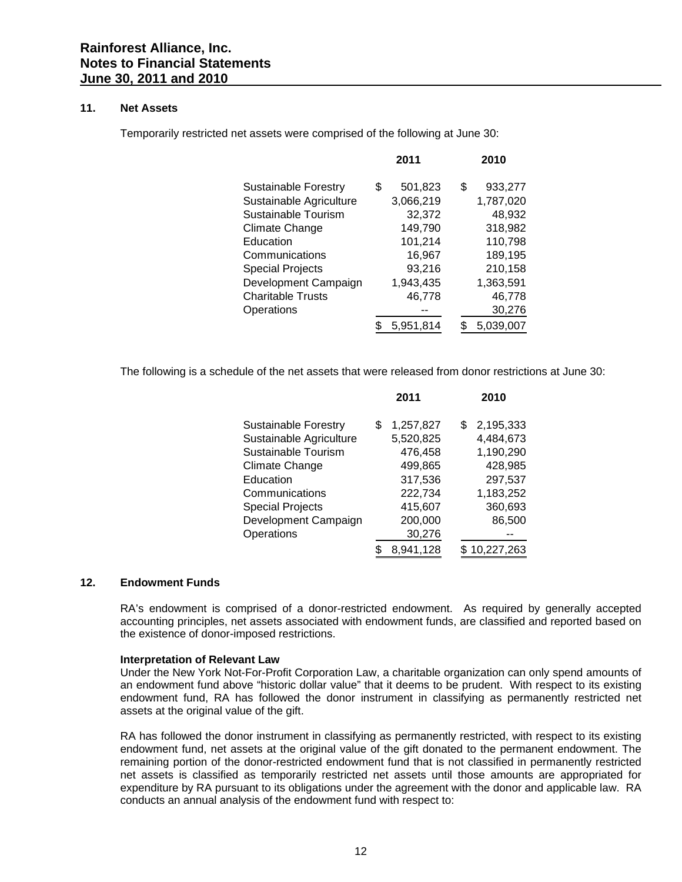#### **11. Net Assets**

Temporarily restricted net assets were comprised of the following at June 30:

|                          | 2011          |    | 2010      |
|--------------------------|---------------|----|-----------|
| Sustainable Forestry     | \$<br>501,823 | \$ | 933,277   |
| Sustainable Agriculture  | 3,066,219     |    | 1,787,020 |
| Sustainable Tourism      | 32,372        |    | 48,932    |
| Climate Change           | 149,790       |    | 318,982   |
| Education                | 101,214       |    | 110,798   |
| Communications           | 16,967        |    | 189,195   |
| <b>Special Projects</b>  | 93,216        |    | 210,158   |
| Development Campaign     | 1,943,435     |    | 1,363,591 |
| <b>Charitable Trusts</b> | 46,778        |    | 46,778    |
| Operations               |               |    | 30,276    |
|                          | 5.951.814     | S  | 5.039.007 |

The following is a schedule of the net assets that were released from donor restrictions at June 30:

|                             | ZUII            | ZUIU            |
|-----------------------------|-----------------|-----------------|
| <b>Sustainable Forestry</b> | \$<br>1,257,827 | \$<br>2,195,333 |
| Sustainable Agriculture     | 5,520,825       | 4,484,673       |
| Sustainable Tourism         | 476,458         | 1,190,290       |
| Climate Change              | 499,865         | 428,985         |
| Education                   | 317,536         | 297,537         |
| Communications              | 222,734         | 1,183,252       |
| <b>Special Projects</b>     | 415,607         | 360,693         |
| Development Campaign        | 200,000         | 86,500          |
| Operations                  | 30,276          |                 |
|                             | 8,941,128       | \$10,227,263    |

**2011 2010**

# **12. Endowment Funds**

RA's endowment is comprised of a donor-restricted endowment. As required by generally accepted accounting principles, net assets associated with endowment funds, are classified and reported based on the existence of donor-imposed restrictions.

#### **Interpretation of Relevant Law**

Under the New York Not-For-Profit Corporation Law, a charitable organization can only spend amounts of an endowment fund above "historic dollar value" that it deems to be prudent. With respect to its existing endowment fund, RA has followed the donor instrument in classifying as permanently restricted net assets at the original value of the gift.

RA has followed the donor instrument in classifying as permanently restricted, with respect to its existing endowment fund, net assets at the original value of the gift donated to the permanent endowment. The remaining portion of the donor-restricted endowment fund that is not classified in permanently restricted net assets is classified as temporarily restricted net assets until those amounts are appropriated for expenditure by RA pursuant to its obligations under the agreement with the donor and applicable law. RA conducts an annual analysis of the endowment fund with respect to: